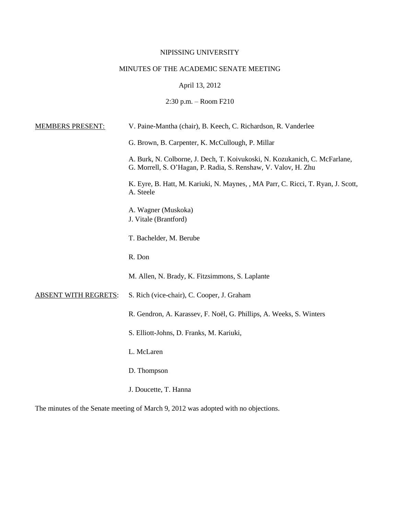# NIPISSING UNIVERSITY

# MINUTES OF THE ACADEMIC SENATE MEETING

# April 13, 2012

# 2:30 p.m. – Room F210

| <b>MEMBERS PRESENT:</b>     | V. Paine-Mantha (chair), B. Keech, C. Richardson, R. Vanderlee                                                                               |  |
|-----------------------------|----------------------------------------------------------------------------------------------------------------------------------------------|--|
|                             | G. Brown, B. Carpenter, K. McCullough, P. Millar                                                                                             |  |
|                             | A. Burk, N. Colborne, J. Dech, T. Koivukoski, N. Kozukanich, C. McFarlane,<br>G. Morrell, S. O'Hagan, P. Radia, S. Renshaw, V. Valov, H. Zhu |  |
|                             | K. Eyre, B. Hatt, M. Kariuki, N. Maynes, , MA Parr, C. Ricci, T. Ryan, J. Scott,<br>A. Steele                                                |  |
|                             | A. Wagner (Muskoka)<br>J. Vitale (Brantford)                                                                                                 |  |
|                             | T. Bachelder, M. Berube                                                                                                                      |  |
|                             | R. Don                                                                                                                                       |  |
|                             | M. Allen, N. Brady, K. Fitzsimmons, S. Laplante                                                                                              |  |
| <b>ABSENT WITH REGRETS:</b> | S. Rich (vice-chair), C. Cooper, J. Graham                                                                                                   |  |
|                             | R. Gendron, A. Karassev, F. Noël, G. Phillips, A. Weeks, S. Winters                                                                          |  |
|                             | S. Elliott-Johns, D. Franks, M. Kariuki,                                                                                                     |  |
|                             | L. McLaren                                                                                                                                   |  |
|                             | D. Thompson                                                                                                                                  |  |
|                             | J. Doucette, T. Hanna                                                                                                                        |  |

The minutes of the Senate meeting of March 9, 2012 was adopted with no objections.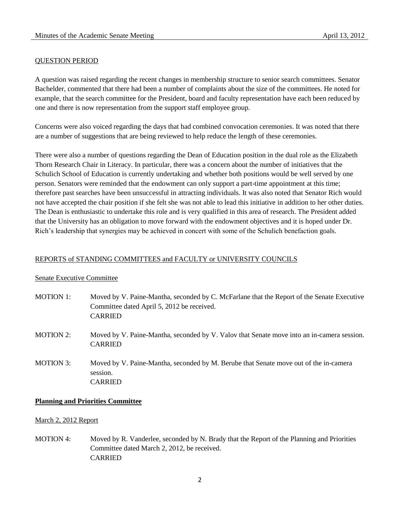### QUESTION PERIOD

A question was raised regarding the recent changes in membership structure to senior search committees. Senator Bachelder, commented that there had been a number of complaints about the size of the committees. He noted for example, that the search committee for the President, board and faculty representation have each been reduced by one and there is now representation from the support staff employee group.

Concerns were also voiced regarding the days that had combined convocation ceremonies. It was noted that there are a number of suggestions that are being reviewed to help reduce the length of these ceremonies.

There were also a number of questions regarding the Dean of Education position in the dual role as the Elizabeth Thorn Research Chair in Literacy. In particular, there was a concern about the number of initiatives that the Schulich School of Education is currently undertaking and whether both positions would be well served by one person. Senators were reminded that the endowment can only support a part-time appointment at this time; therefore past searches have been unsuccessful in attracting individuals. It was also noted that Senator Rich would not have accepted the chair position if she felt she was not able to lead this initiative in addition to her other duties. The Dean is enthusiastic to undertake this role and is very qualified in this area of research. The President added that the University has an obligation to move forward with the endowment objectives and it is hoped under Dr. Rich's leadership that synergies may be achieved in concert with some of the Schulich benefaction goals.

### REPORTS of STANDING COMMITTEES and FACULTY or UNIVERSITY COUNCILS

#### Senate Executive Committee

- MOTION 1: Moved by V. Paine-Mantha, seconded by C. McFarlane that the Report of the Senate Executive Committee dated April 5, 2012 be received. CARRIED
- MOTION 2: Moved by V. Paine-Mantha, seconded by V. Valov that Senate move into an in-camera session. CARRIED
- MOTION 3: Moved by V. Paine-Mantha, seconded by M. Berube that Senate move out of the in-camera session. CARRIED

### **Planning and Priorities Committee**

#### March 2, 2012 Report

MOTION 4: Moved by R. Vanderlee, seconded by N. Brady that the Report of the Planning and Priorities Committee dated March 2, 2012, be received. CARRIED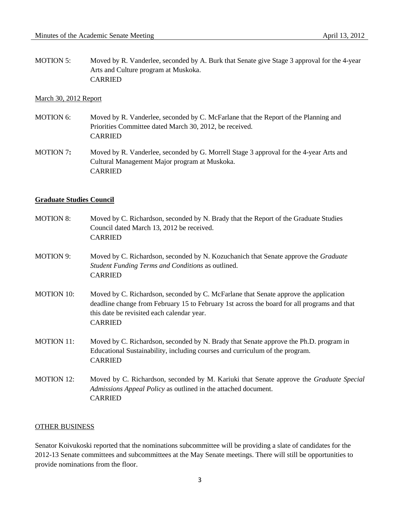MOTION 5: Moved by R. Vanderlee, seconded by A. Burk that Senate give Stage 3 approval for the 4-year Arts and Culture program at Muskoka. CARRIED

#### March 30, 2012 Report

- MOTION 6: Moved by R. Vanderlee, seconded by C. McFarlane that the Report of the Planning and Priorities Committee dated March 30, 2012, be received. CARRIED
- MOTION 7**:** Moved by R. Vanderlee, seconded by G. Morrell Stage 3 approval for the 4-year Arts and Cultural Management Major program at Muskoka. CARRIED

#### **Graduate Studies Council**

| <b>MOTION 8:</b>  | Moved by C. Richardson, seconded by N. Brady that the Report of the Graduate Studies<br>Council dated March 13, 2012 be received.<br><b>CARRIED</b>                                                                                                 |
|-------------------|-----------------------------------------------------------------------------------------------------------------------------------------------------------------------------------------------------------------------------------------------------|
| <b>MOTION 9:</b>  | Moved by C. Richardson, seconded by N. Kozuchanich that Senate approve the <i>Graduate</i><br>Student Funding Terms and Conditions as outlined.<br><b>CARRIED</b>                                                                                   |
| <b>MOTION 10:</b> | Moved by C. Richardson, seconded by C. McFarlane that Senate approve the application<br>deadline change from February 15 to February 1st across the board for all programs and that<br>this date be revisited each calendar year.<br><b>CARRIED</b> |
| <b>MOTION 11:</b> | Moved by C. Richardson, seconded by N. Brady that Senate approve the Ph.D. program in<br>Educational Sustainability, including courses and curriculum of the program.<br><b>CARRIED</b>                                                             |
| <b>MOTION 12:</b> | Moved by C. Richardson, seconded by M. Kariuki that Senate approve the Graduate Special<br>Admissions Appeal Policy as outlined in the attached document.<br><b>CARRIED</b>                                                                         |

### OTHER BUSINESS

Senator Koivukoski reported that the nominations subcommittee will be providing a slate of candidates for the 2012-13 Senate committees and subcommittees at the May Senate meetings. There will still be opportunities to provide nominations from the floor.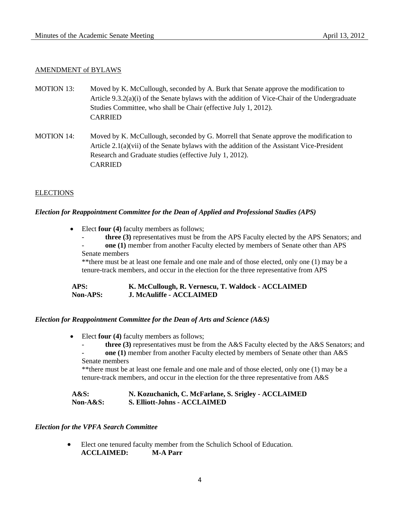# AMENDMENT of BYLAWS

- MOTION 13: Moved by K. McCullough, seconded by A. Burk that Senate approve the modification to Article 9.3.2(a)(i) of the Senate bylaws with the addition of Vice-Chair of the Undergraduate Studies Committee, who shall be Chair (effective July 1, 2012). CARRIED
- MOTION 14: Moved by K. McCullough, seconded by G. Morrell that Senate approve the modification to Article 2.1(a)(vii) of the Senate bylaws with the addition of the Assistant Vice-President Research and Graduate studies (effective July 1, 2012). CARRIED

#### ELECTIONS

#### *Election for Reappointment Committee for the Dean of Applied and Professional Studies (APS)*

- Elect **four (4)** faculty members as follows;
	- **three (3)** representatives must be from the APS Faculty elected by the APS Senators; and - **one (1)** member from another Faculty elected by members of Senate other than APS
	- Senate members

\*\*there must be at least one female and one male and of those elected, only one (1) may be a tenure-track members, and occur in the election for the three representative from APS

#### **APS: K. McCullough, R. Vernescu, T. Waldock - ACCLAIMED Non-APS: J. McAuliffe - ACCLAIMED**

#### *Election for Reappointment Committee for the Dean of Arts and Science (A&S)*

- Elect **four (4)** faculty members as follows;
	- **three (3)** representatives must be from the A&S Faculty elected by the A&S Senators; and
	- one (1) member from another Faculty elected by members of Senate other than A&S Senate members

\*\*there must be at least one female and one male and of those elected, only one (1) may be a tenure-track members, and occur in the election for the three representative from A&S

# **A&S: N. Kozuchanich, C. McFarlane, S. Srigley - ACCLAIMED Non-A&S: S. Elliott-Johns - ACCLAIMED**

#### *Election for the VPFA Search Committee*

 Elect one tenured faculty member from the Schulich School of Education. **ACCLAIMED: M-A Parr**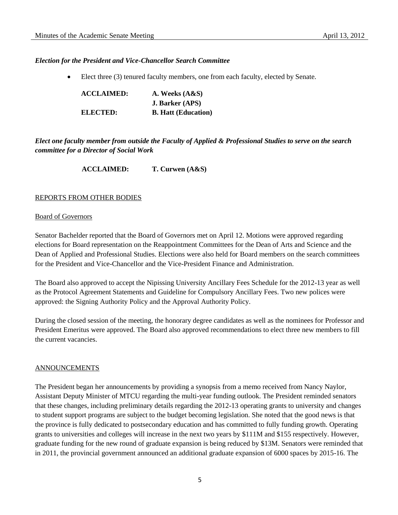### *Election for the President and Vice-Chancellor Search Committee*

Elect three (3) tenured faculty members, one from each faculty, elected by Senate.

| <b>ACCLAIMED:</b> | A. Weeks $(A&S)$           |
|-------------------|----------------------------|
|                   | <b>J. Barker (APS)</b>     |
| ELECTED:          | <b>B. Hatt (Education)</b> |

*Elect one faculty member from outside the Faculty of Applied & Professional Studies to serve on the search committee for a Director of Social Work*

**ACCLAIMED: T. Curwen (A&S)**

#### REPORTS FROM OTHER BODIES

#### Board of Governors

Senator Bachelder reported that the Board of Governors met on April 12. Motions were approved regarding elections for Board representation on the Reappointment Committees for the Dean of Arts and Science and the Dean of Applied and Professional Studies. Elections were also held for Board members on the search committees for the President and Vice-Chancellor and the Vice-President Finance and Administration.

The Board also approved to accept the Nipissing University Ancillary Fees Schedule for the 2012-13 year as well as the Protocol Agreement Statements and Guideline for Compulsory Ancillary Fees. Two new polices were approved: the Signing Authority Policy and the Approval Authority Policy.

During the closed session of the meeting, the honorary degree candidates as well as the nominees for Professor and President Emeritus were approved. The Board also approved recommendations to elect three new members to fill the current vacancies.

#### **ANNOUNCEMENTS**

The President began her announcements by providing a synopsis from a memo received from Nancy Naylor, Assistant Deputy Minister of MTCU regarding the multi-year funding outlook. The President reminded senators that these changes, including preliminary details regarding the 2012-13 operating grants to university and changes to student support programs are subject to the budget becoming legislation. She noted that the good news is that the province is fully dedicated to postsecondary education and has committed to fully funding growth. Operating grants to universities and colleges will increase in the next two years by \$111M and \$155 respectively. However, graduate funding for the new round of graduate expansion is being reduced by \$13M. Senators were reminded that in 2011, the provincial government announced an additional graduate expansion of 6000 spaces by 2015-16. The